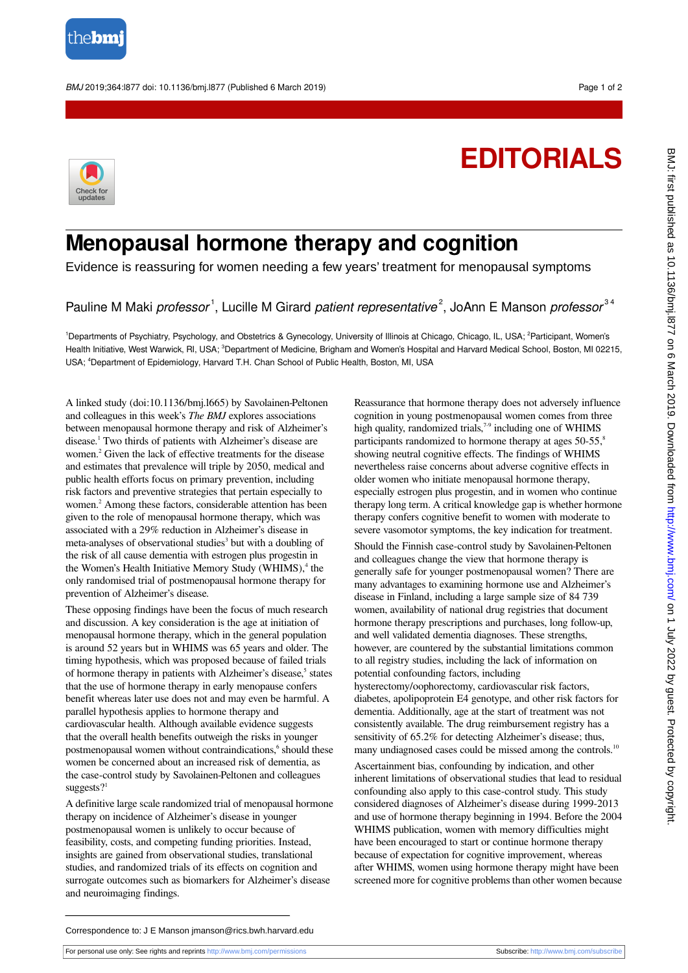

BMJ 2019;364:l877 doi: 10.1136/bmj.l877 (Published 6 March 2019) Page 1 of 2

## **EDITORIALS**



## **Menopausal hormone therapy and cognition**

Evidence is reassuring for women needing a few years' treatment for menopausal symptoms

## Pauline M Maki professor<sup>1</sup>, Lucille M Girard patient representative<sup>2</sup>, JoAnn E Manson professor<sup>34</sup>

1Departments of Psychiatry, Psychology, and Obstetrics & Gynecology, University of Illinois at Chicago, Chicago, IL, USA; <sup>2</sup>Participant, Women's Health Initiative, West Warwick, RI, USA; <sup>3</sup>Department of Medicine, Brigham and Women's Hospital and Harvard Medical School, Boston, MI 02215, USA; <sup>4</sup>Department of Epidemiology, Harvard T.H. Chan School of Public Health, Boston, MI, USA

A linked study (doi:10.1136/bmj.l665) by Savolainen-Peltonen and colleagues in this week's *The BMJ* explores associations between menopausal hormone therapy and risk of Alzheimer's disease.<sup>1</sup> Two thirds of patients with Alzheimer's disease are women.<sup>2</sup> Given the lack of effective treatments for the disease and estimates that prevalence will triple by 2050, medical and public health efforts focus on primary prevention, including risk factors and preventive strategies that pertain especially to women.<sup>2</sup> Among these factors, considerable attention has been given to the role of menopausal hormone therapy, which was associated with a 29% reduction in Alzheimer's disease in meta-analyses of observational studies<sup>3</sup> but with a doubling of the risk of all cause dementia with estrogen plus progestin in the Women's Health Initiative Memory Study (WHIMS),<sup>4</sup> the only randomised trial of postmenopausal hormone therapy for prevention of Alzheimer's disease.

These opposing findings have been the focus of much research and discussion. A key consideration is the age at initiation of menopausal hormone therapy, which in the general population is around 52 years but in WHIMS was 65 years and older. The timing hypothesis, which was proposed because of failed trials of hormone therapy in patients with Alzheimer's disease,<sup>5</sup> states that the use of hormone therapy in early menopause confers benefit whereas later use does not and may even be harmful. A parallel hypothesis applies to hormone therapy and cardiovascular health. Although available evidence suggests that the overall health benefits outweigh the risks in younger postmenopausal women without contraindications,<sup>6</sup> should these women be concerned about an increased risk of dementia, as the case-control study by Savolainen-Peltonen and colleagues suggests $2<sup>1</sup>$ 

A definitive large scale randomized trial of menopausal hormone therapy on incidence of Alzheimer's disease in younger postmenopausal women is unlikely to occur because of feasibility, costs, and competing funding priorities. Instead, insights are gained from observational studies, translational studies, and randomized trials of its effects on cognition and surrogate outcomes such as biomarkers for Alzheimer's disease and neuroimaging findings.

Reassurance that hormone therapy does not adversely influence cognition in young postmenopausal women comes from three high quality, randomized trials,<sup>7-9</sup> including one of WHIMS participants randomized to hormone therapy at ages 50-55,<sup>8</sup> showing neutral cognitive effects. The findings of WHIMS nevertheless raise concerns about adverse cognitive effects in older women who initiate menopausal hormone therapy, especially estrogen plus progestin, and in women who continue therapy long term. A critical knowledge gap is whether hormone therapy confers cognitive benefit to women with moderate to severe vasomotor symptoms, the key indication for treatment.

Should the Finnish case-control study by Savolainen-Peltonen and colleagues change the view that hormone therapy is generally safe for younger postmenopausal women? There are many advantages to examining hormone use and Alzheimer's disease in Finland, including a large sample size of 84 739 women, availability of national drug registries that document hormone therapy prescriptions and purchases, long follow-up, and well validated dementia diagnoses. These strengths, however, are countered by the substantial limitations common to all registry studies, including the lack of information on potential confounding factors, including hysterectomy/oophorectomy, cardiovascular risk factors,

diabetes, apolipoprotein E4 genotype, and other risk factors for dementia. Additionally, age at the start of treatment was not consistently available. The drug reimbursement registry has a sensitivity of 65.2% for detecting Alzheimer's disease; thus, many undiagnosed cases could be missed among the controls.<sup>10</sup>

Ascertainment bias, confounding by indication, and other inherent limitations of observational studies that lead to residual confounding also apply to this case-control study. This study considered diagnoses of Alzheimer's disease during 1999-2013 and use of hormone therapy beginning in 1994. Before the 2004 WHIMS publication, women with memory difficulties might have been encouraged to start or continue hormone therapy because of expectation for cognitive improvement, whereas after WHIMS, women using hormone therapy might have been screened more for cognitive problems than other women because